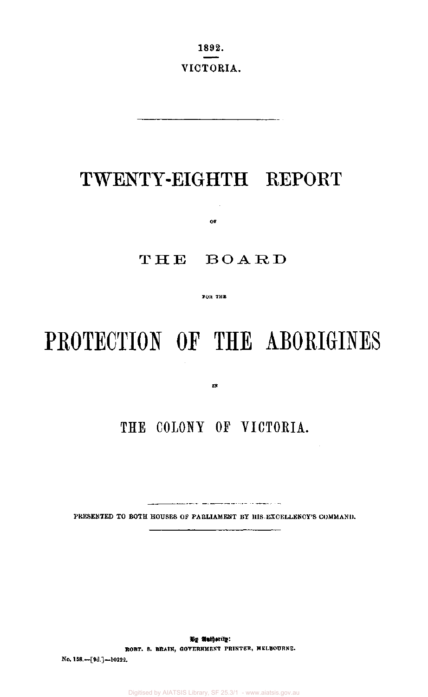1892. VICTORIA.

## TWENTY-EIGHTH REPORT

 $-$ 

THE BOARD

or

**FOB THE** 

# PROTECTION OF THE ABORIGINES

**IN** 

## **THE COLONY OF VICTORIA.**

.<br>Sender and the sender of the contemporary of the sender

PRESENTED TO BOTH HOUSES OF PARLIAMENT BY HIS EXCELLENCY'S COMMAND.

**By Authority: ROBT. S. BRAIN, GOVERNMENT PRINTER, MELBOURNE.**  No. 158.—[9d.]—10222.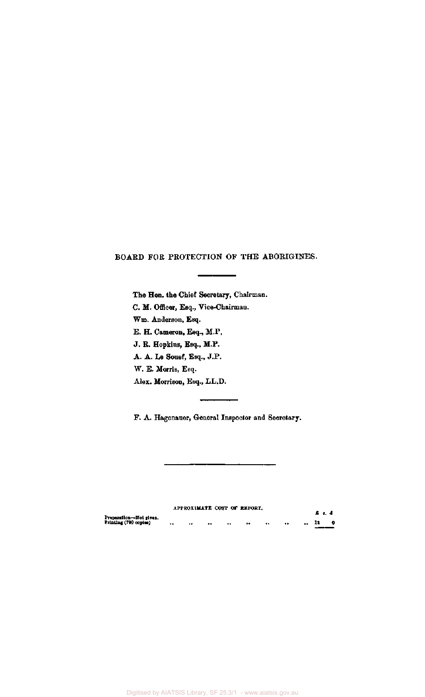#### BOARD FOR PROTECTION OF THE ABORIGINES.

The Hon. the Chief Secretary, Chairman. C. M. Officer, Esq., Vice-Chairman. Wm. Anderson, Esq. E. H. Cameron, Esq., M.P. J. R. Hopkins, Esq., M.P. A. A. Le Souef, Esq., J.P. W. E. Morris, Esq. Alex. Morrison, Esq., LL.D.

F. A. Hagenaner, General Inspector and Secretary.

APPROXIMATE COST OF REPORT. **£ s***. d*  **Preparation—Not given. Printing (790 copies) 12 0** 

Digitised by AIATSIS Library, SF 25.3/1 - www.aiatsis.gov.au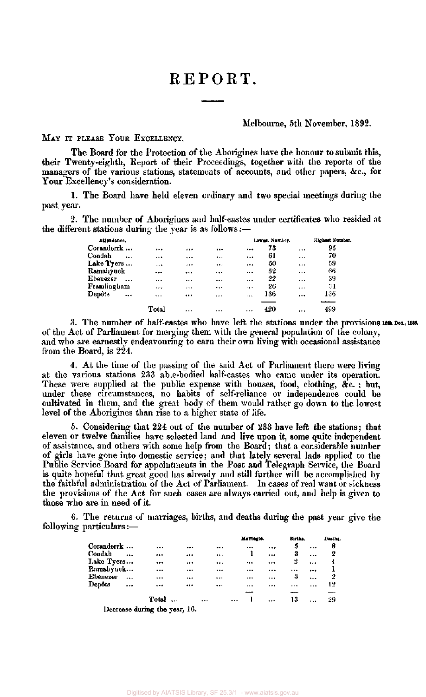## REPORT.

#### Melbourne, 5th November, 1892.

#### MAY IT PLEASE YOUR EXCELLENCY,

The Board for the Protection of the Aborigines have the honour to submit this, their Twenty-eighth, Report of their Proceedings, together with the reports of the managers of the various stations, statements of accounts, and other papers, &c , for Your Excellency's consideration.

1. The Board have held eleven ordinary and two special meetings during the past. year.

2. The number of Aborigines and half-castes under certificates who resided at the different stations during the year is as follows:—

| Attendance.           |                      |          |          |          |           | Lowest Number. |          | Highest Number. |
|-----------------------|----------------------|----------|----------|----------|-----------|----------------|----------|-----------------|
| Coranderrk            |                      |          |          |          |           | 73             | .        | 95              |
| Condah                | $\ddot{\phantom{a}}$ |          |          |          |           | 61             | $\cdots$ | 70              |
| Lake Tyers            |                      | $\cdots$ |          |          |           | 50             |          | 59              |
| Ramahyuck             |                      |          |          |          | $\cdots$  | 52             | $\cdots$ | 66              |
| Ebenezer<br>$\ddotsc$ |                      |          |          | $\cdots$ | $\ddotsc$ | 22             |          | 39              |
| Framlingham           |                      |          |          |          |           | 26             |          | 34              |
| Depôts                | $\ddotsc$            | $\cdots$ |          |          | $\cdots$  | 136            | $\cdots$ | 136             |
|                       |                      | Total    | $\cdots$ | $\cdots$ | $\cdots$  | 420            |          | --<br>499       |

3. The number of half-castes who have left the stations under the provisions 16th Dec., 1886. of the Act of Parliament for merging them with the general population of the colony, and who are earnestly endeavouring to earn their own living with occasional assistance from the Board, is 224.

4. At the time of the passing of the said Act of Parliament there were living at the various stations 233 able-bodied half-castes who came under its operation. These were supplied at the public expense with houses, food, clothing, &c. ; but, under these circumstances, no habits of self-reliance or independence could be cultivated in them, and the great body of them would rather go down to the lowest level of the Aborigines than rise to a higher state of life.

5. Considering that 224 out of the number of 233 have left the stations; that eleven or twelve families have selected land and live upon it, some quite independent of assistance, and others with some help from the Board; that a considerable number of girls have gone into domestic service; and that lately several lads applied to the Public Service Board for appointments in the Post and Telegraph Service, the Board is quite hopeful that great good has already and still further will be accomplished by the faithful administration of the Act of Parliament. In cases of real want or sickness the provisions of the Act for such cases are always carried out, and help is given to those who are in need of it.

6. The returns of marriages, births, and deaths during the past year give the following particulars:—

|            |                      |                               |          | Marriages. |           | Births.  |           | Deaths. |
|------------|----------------------|-------------------------------|----------|------------|-----------|----------|-----------|---------|
| Coranderrk |                      |                               | <br>     |            |           | 5        |           | 8       |
| Condah     | $\ddot{\phantom{0}}$ |                               | <br>     | ı          |           | 3        | $\cdots$  | 2       |
| Lake Tyers |                      |                               | <br>     |            |           | 2        | $\cdots$  | 4       |
| Ramahyuck  |                      |                               | <br>     |            |           |          |           |         |
| Ebenezer   | $\ddotsc$            |                               | <br>     |            | $\ddotsc$ | 3        | $\ddotsc$ | 2       |
| Depôts     | $\ddotsc$            |                               | <br>     |            |           | $\cdots$ |           | 12      |
|            |                      |                               |          |            |           |          |           |         |
|            |                      | Total                         | $\cdots$ | $\cdots$   | $\cdots$  | 13       |           | 29      |
|            |                      | Decrease during the vest. 16. |          |            |           |          |           |         |

Decrease during **the** year, 16.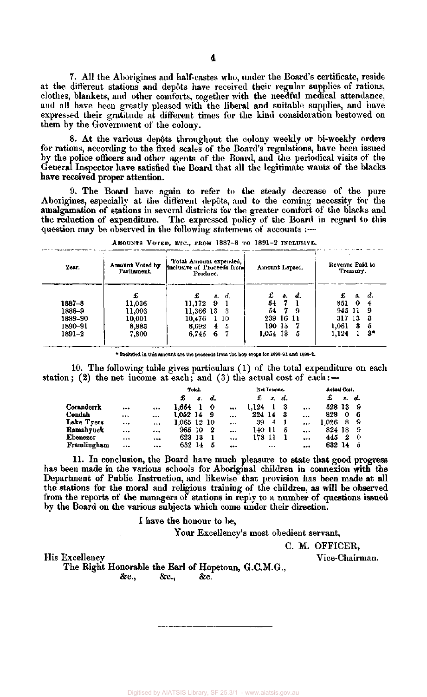7. All the Aborigines and half-castes who, under the Board's certificate, reside at the different stations and depots have received their regular supplies of rations, clothes, blankets, and other comforts, together with the needful medical attendance, and all have been greatly pleased with the liberal and suitable supplies, and have expressed their gratitude at different times for the kind consideration bestowed on them by the Government of the colony.

8. At the various depots throughout the colony weekly or bi-weekly orders for rations, according to the fixed scales of the Board's regulations, have been issued by the police officers and other agents of the Board, and the periodical visits of the General Inspector have satisfied the Board that all the legitimate wants of the blacks **have received proper** attention.

9. The Board have again to refer to the steady decrease of the pure Aborigines, especially at the different depots, and to the coming necessity for the amalgamation of stations in several districts for the greater comfort of the blacks and the reduction of expenditure. The expressed policy of the Board in regard to this question may be observed in the following statement of accounts :—

| d.<br>8.        | £<br>- 8. | d.  | £      | s. | d. |
|-----------------|-----------|-----|--------|----|----|
|                 | - 7       |     |        |    |    |
| 9<br>11.172     | 54<br>-7  |     | 851    | 0  |    |
| 11,366 13<br>-3 | 54        | 9   | 945 11 |    | 9  |
| 10,476<br>110   | 239 16    | -11 | 317 13 |    | З  |
| 8,692<br>5<br>4 | 190-15    |     | 1,061  | 3  | 5  |
| 6<br>6.745      | 1.054 13  | 5   | 1.124  |    | 3* |
|                 |           |     |        |    |    |

AMOUNTS VOTED, ETC., FROM 1887-8 TO 1891-2 INCLUSIVE.

\* Included in this amount are the proceeds from the hop crops for 1890-91 and 1891-2.

10. The following table gives particulars (1) of the total expenditure on each station; (2) the net income at each; and (3) the actual cost of each: $-$ 

|             |          |          |             | Total. |              |           |        | Net Income. |    |          | Actual Cost. |    |    |  |
|-------------|----------|----------|-------------|--------|--------------|-----------|--------|-------------|----|----------|--------------|----|----|--|
|             |          |          | £           | s.     | d.           |           | £      | s.          | d. |          | £            | ε. | d. |  |
| Coranderrk  | $\cdots$ |          | 1.654       |        | $\mathbf{o}$ |           | 1.124  |             | 3  |          | 528 13       |    | 9  |  |
| Condah      |          |          | 1.052 14    |        | - 9          | $\cdots$  | 224 14 |             | -3 |          | 828          | 0  | 6  |  |
| Lake Tyers  | $\cdots$ |          | 1.065 12 10 |        |              | $\cdots$  | 39     | 4           |    |          | 1.026        | 8  | -9 |  |
| Ramabyuck   |          | $\cdots$ | 965.        | 10     | -2           | $\ddotsc$ | 140 II |             | 5  |          | 824 18       |    | -9 |  |
| Ebenezer    | $\cdots$ |          | 623         | -13    |              | $\cdots$  | 178 11 |             |    | $***$    | 445          | 2  | -0 |  |
| Framlingham |          |          | 632 14      |        | 5            |           |        |             |    | $\cdots$ | 632 -        | 14 | -5 |  |

11. In conclusion, the Board have much pleasure to state that good progress has been made in the various schools for Aboriginal children in connexion with the Department of Public Instruction, and likewise that provision has been made at all the stations for the moral and religious training of the children, as will be observed from the reports of the managers of stations in reply to a number of questions issued by the Board on the various subjects which come under their direction.

I have the honour to be,

Your Excellency's most obedient servant,

C. M. OFFICER,

His Excellency Vice-Chairman.

The Right Honorable the Earl of Hopetoun, G.C.M.G.,

&c, &c, &c.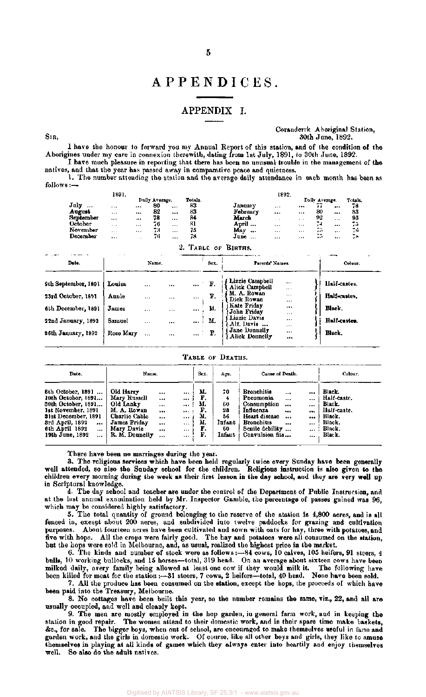### APPENDICES .

#### APPENDIX I.

SIR ,

Coranderrk Aboriginal Station, 30th June , 1892.

I have the honour to forward you my Annual Report of this station, and of the condition of the Aborigines under my care in connexion therewith, dating from 1st July , 1891, to 30th June , 1892. I have much pleasure in reporting that there has been no unusual trouble in the management of the

natives, and that the year has passed away in comparative peace and quietness. 1. The number attending the station and the average daily attendance in each month has been as follows :—

|                | 1891.    |          |                |          |         |                  | 1892.    |          |                |          |         |
|----------------|----------|----------|----------------|----------|---------|------------------|----------|----------|----------------|----------|---------|
|                |          |          | Daily Average. |          | Totals. |                  |          |          | Daily Average. |          | Totals. |
| July<br>       |          |          | 80             | $\cdots$ | 83      | January          | $\cdots$ |          | --<br>         |          | 78      |
| August         | $\cdots$ |          | 82             |          | 83      | Februarv         |          | $\cdots$ | 80             |          | 83      |
| Sepi<br>tember | $\cdots$ | $1 + 4$  | 78             |          | 84      | March            |          | 1.11     | 92             | $\cdots$ | 95      |
| October        | $\cdots$ | $\cdots$ | 76             | $\cdots$ | 81      | April            |          | $\cdots$ | ٠<br>. .       |          | 75      |
| November       | $\cdots$ |          | 73             |          | 75      | May<br>          |          | $***$    | --<br>r i I    |          | ÷,      |
| December       |          |          | 74             | $***$    | 78      | Tune<br>$\cdots$ |          |          | $ -$<br>د. .   | $\cdots$ | 78      |

|                                                                                                             |                                                 |                                                   |                                 |                                     |                                     | 2. TABLE OF BIRTHS.                                                                                                                                           |                                                                                      | ---                                                               |
|-------------------------------------------------------------------------------------------------------------|-------------------------------------------------|---------------------------------------------------|---------------------------------|-------------------------------------|-------------------------------------|---------------------------------------------------------------------------------------------------------------------------------------------------------------|--------------------------------------------------------------------------------------|-------------------------------------------------------------------|
| Date.                                                                                                       |                                                 | Name.                                             |                                 |                                     | Sex.                                | Parents' Names.                                                                                                                                               |                                                                                      | Colour.                                                           |
| 9th September, 1891<br>23rd October, 1891<br>6th December, 1891<br>22nd January, 1892<br>26th January, 1892 | Louisa<br>Annie<br>James<br>Samuel<br>Rose Mary | <br>$\cdots$<br>$\cdots$<br>$\cdots$<br>$\ddotsc$ | <br>$1.1 +$<br>$\cdots$<br><br> | aan b<br><br><b>Add 1</b><br>asa in | $\ldots$ F.<br>F.<br>М.<br>М.<br>F. | Lizzie Campbell<br>Alick Campbell<br>M. A. Rowan<br>Dick Rowan<br>Kate Friday<br>John Friday<br>Lizzie Davis<br>Alf. Davis<br>Jane Donnelly<br>Alick Donnelly | $\cdots$<br>$\cdots$<br>$\cdots$<br><br><br>$\cdots$<br>$\cdots$<br>$\cdots$<br><br> | llalf-castes.<br>Half-castes.<br>Black.<br>Half-castes.<br>Black. |

#### TABLE OF DEATHS.

| Date.                                                                                                                                                                                           | Name.                                                                                                                  |                                                  |                                                              | Sex.                                         | Age.                                                | Cause of Death.                                                                                                                                                                         |                                                                             | Colour.                                                                                |
|-------------------------------------------------------------------------------------------------------------------------------------------------------------------------------------------------|------------------------------------------------------------------------------------------------------------------------|--------------------------------------------------|--------------------------------------------------------------|----------------------------------------------|-----------------------------------------------------|-----------------------------------------------------------------------------------------------------------------------------------------------------------------------------------------|-----------------------------------------------------------------------------|----------------------------------------------------------------------------------------|
| 8th October, 1891<br>10th October, 1891<br>30th October, 1891<br>1st November, 1891<br>31st December, 1891<br>3rd April, 1892<br><br>6th April 1892<br>$\cdots$<br>19th June, 1892<br>$\ddotsc$ | Old Harry<br>Mary Russell<br>Old Lanky<br>M. A. Rowan<br>Charlie Cable<br>James Friday<br>Mary Davie<br>R. M. Donnelly | <br><br>$\cdots$<br><br><br>$\cdots$<br><br>1.11 | <br><br>$\cdots$<br><br><br>$\cdots$<br>$\cdots$<br>$\cdots$ | М.<br>F.<br>м.<br>Р.<br>М.<br>м.<br>F.<br>г. | 70<br>4<br>60<br>23<br>56<br>Infant<br>60<br>Infant | <b>Bronchitis</b><br><br>Pneumonia<br>$\cdots$<br>Consumption<br>$\ddotsc$<br>Influenza<br><br>Heart disease<br><br><b>Bronchitis</b><br>$\cdots$<br>Senile debility<br>Convulsion fits | <br>$\cdots$<br>$\cdots$<br>$\cdots$<br><br>$+ + +$<br>$\cdots$<br>$\cdots$ | Black.<br>Half-caste.<br>Black.<br>Half-caste.<br>Black.<br>Black.<br>Black.<br>Black. |

There have been no marriages during the year.

3. The religious services which have been held regularly twice every Sunday have been generally well attended, so also the Sunday school for the children. Religious instruction is also given to the children every morning during the week as their first lesson in the day school, and they are very well up in Scriptural knowledge.

4. The day school and teacher are under the control of the Department of Public Instruction, and at the last annual examination held by Mr. Inspector Gamble, the percentage of passes gained was 96, which may be considered highly satisfactory.

5. The total quantity of ground belonging to the reserve of the station is 4,800 acres, and is all fenced in, except about 200 acres, and subdivided into twelve paddocks for grazing and cultivation purposes. About fourteen acres have been cultivated and sown with oats for hay, three with potatoes, and five with hops. All the crops were fairly good. The hay and potatoes were all consumed on the station, but the hops were sold in Melbourne, and, as usual, realized the highest price in the market.

6. The kinds and number of stock were as follows :—84 cows, 10 calves, 105 heifers, 91 steers, 4 bulls, 10 working bullocks, and 15 horses—total, 319 head. On an average about sixteen cows have been milked daily, every family being allowed at least one cow if they would milk it. The following have been killed for meat for the station:—31 steers, 7 cows, 2 heifers—total, 40 head. None have been sold.

7. All the produce has been consumed on the station, except the hops, the proceeds of which have been paid into the Treasury, Melbourne.

8. No cottages have been built this year, so the number remains the same, viz., 22, and all are usually occupied, and well and cleanly kept.

9. The men are mostly employed in the hop garden, in general farm work, and in keeping the station in good repair. The women attend to their domestic work, and in their spare time make baskets, &c., for sale. The bigger boys, when out of school, arc encouraged to make themselves useful in farm and garden work, and the girls in domestic work. Of course, like all other boys and girls, they like to amuse themselves in playing at all kinds of games which they always enter into heartily and enjoy themselves well. So also do the adult natives.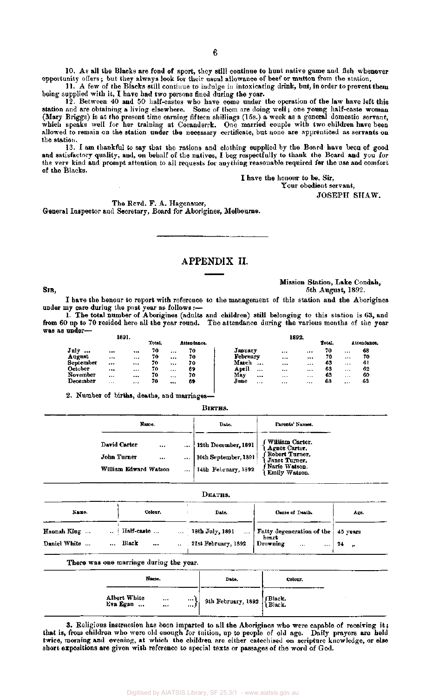10. As all the Blacks are fond of sport, they still continue to hunt native game and fish whenever opportunity offers; but they always look for their usual allowance of beef or mutton from the station.

6

11. A few of the Blacks still continue to indulge in intoxicating drink, but, in order to prevent them being supplied with it, I have had two persons fined during the year.

12. Between 40 and 50 half-castes who have come under the operation of the law have left this station and are obtaining a living elsewhere. Some of them are doing well; one young half-caste woman (Mary Briggs) is at the present time earning fifteen shillings (15s.) a week as a general domestic servant, which speaks well for her training at Coranderrk. One married couple with two children have been allowed to remain on the station under the necessary certificate, but none are apprenticed as servants on the station.

13. I am thankful to say that the rations and clothing supplied by the Board have been of good and satisfactory quality, and, on behalf of the natives, I beg respectfully to thank the Board and you for the very kind and prompt attention to all requests for anything reasonable required for the use and comfort of the Blacks.

I have the honour to be, Sir,

Your obedient servant,

JOSEPH SHAW.

The Revd. F. A. Hagenauer, General Inspector and Secretary, Board for Aborigines, Melbourne.

### APPENDIX II.

#### SIR,

Mission Station, Lake Condah, 5th August, 1892.

I have the honour to report with reference to the management of this station and the Aborigines under my care during the past year as follows :—

1. The total number of Aborigines (adults and children) still belonging to this station is 63, and from 60 up to 70 resided here all the year round. The attendance during the various months of the year was as under—

|           |          | 1891.                |        |          |             |                   |          | 1892.    |        |          |             |
|-----------|----------|----------------------|--------|----------|-------------|-------------------|----------|----------|--------|----------|-------------|
|           |          |                      | Total. |          | Attendance. |                   |          |          | Total. |          | Attendance. |
| July<br>  |          | $\ddot{\phantom{0}}$ | 70     |          | 70          | Japuary           |          |          | 70     |          | 68          |
| August    |          | $***$                | 70     |          | 70          | February          | $1 + 4$  |          | 70     |          | 70          |
| September |          |                      | 70     |          | 70          | March<br>         |          |          | 63     |          | -6 L        |
| October   |          |                      | 70.    | $\cdots$ | 69          | April<br>$\cdots$ |          | $\cdots$ | 63     |          | 62          |
| November  |          |                      | 70     | $\cdots$ | 70          | May<br>$\cdots$   | $\cdots$ | $\cdots$ | 63     | $\cdots$ | 60          |
| December  | $\cdots$ |                      | 70     | $$       | 69          | June<br>$1 - 7$   | .        |          | 63     | $1 + 1$  | 63          |
|           |          |                      |        |          |             |                   |          |          |        |          |             |

2. Number of births, deaths, and marriages—

#### BIRTHS.

| Name.                                                                            | Date.                                                              | Parents' Names.                                                                                       |
|----------------------------------------------------------------------------------|--------------------------------------------------------------------|-------------------------------------------------------------------------------------------------------|
| David Carter<br><br><br>John Turner<br>$\cdots$<br><br>William Edward Watson<br> | 12th December, 1891<br>10th September, 1891<br>14th February, 1892 | William Carter.<br>Agues Carter.<br>Robert Turner.<br>Janet Turner.<br>Narie Watson.<br>Emily Watson. |

#### DEATHS. Colour. Name. Date. Cause of Death. Age. Half-caste ... Hannah King ... 18th July, 1891 Fatty degeneration of the 45 years heart Daniel White ... Black 21st February, 1892 Drowning 24,  $\overline{\phantom{a}}$

#### There was one marriage during the year.

| Name.                    |                                                 | Date.                                 | Colour. |  |
|--------------------------|-------------------------------------------------|---------------------------------------|---------|--|
| Albert White<br>Eva Egan | $\scriptstyle\star$<br>$\cdots$<br><br>$\cdots$ | 9th February, 1892  {Black.<br>Black. |         |  |

3. Religious instruction has been imparted to all the Aborigines who were capable of receiving it; that is, from children who were old enough for tuition, up to people of old age. Daily prayers are held twice, morning and evening, at which the children are either catechised on scripture knowledge, or else short expositions are given with reference to special texts or passages of the word of God.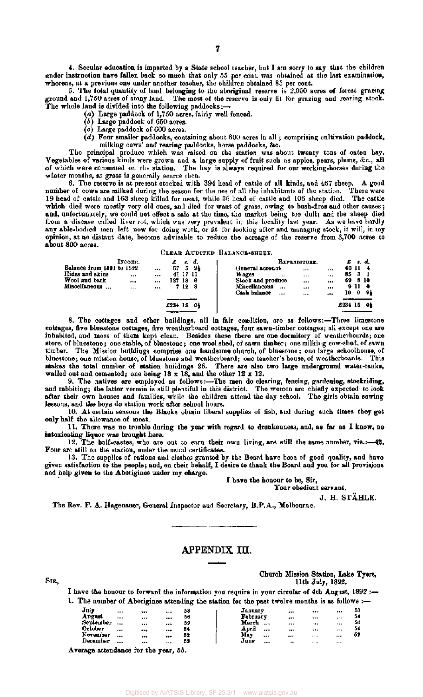4. Secular education is imparted by a State school teacher, but I am sorry to say that the children under instruction have fallen back so much that only 55 per cent, was obtained at the last examination, whereas, at a previous one under another teacher, the children obtained 85 per cent.

5. The total quantity of land belonging to the aboriginal reserve is 2,050 acres of forest grazing ground and 1,750 acres of stony land. The most of the reserve is only fit for grazing and rearing stock. The whole land is divided into the following paddocks: $\rightarrow$ 

(a) Large paddock of 1,750 acres, fairly well fenced.

- *(b)* Large paddock of 650 acres.
- (c) Large paddock of 600 acres.
- *(d)* Four smaller paddocks, containing about 800 acres in all; comprising cultivation paddock, milking cows' and rearing paddocks, horse paddocks, &c.

The principal produce which was raised on the station was about twenty tons of oaten hay. Vegetables of various kinds were grown and a large supply of fruit such as apples, pears, plums, &c, all of which were consumed on the station. The hay is always required for our working-horses during the winter months, as grass is generally scarce then.

6. The reserve is at present stocked with 394 head of cattle of all kinds, and 467 sheep. A good number of cows are milked during the season for the use of all the inhabitants of the station. There were 19 head of cattle and 163 sheep killed for meat, while 36 head of cattle and 106 sheep died. The cattle 19 head of cattle and 163 sheep killed for meat, while 36 head of cattle and 106 sheep died. The cattle which died were mostly very old ones, and died for want of grass, owing to bush-fires and other causes; and, unfortunately, we could not effect a sale at the time, the market being too dull; and the sheep died from a disease called liver rot, which was very prevalent in this locality last year. As we have hardly any able-bodied men left now for doing work, or fit for looking after and managing stock, it will, in my opinion, at no distant date, become advisable to reduce the acreage of the reserve from 3,700 acres to about 800 acres.

CLEAR AUDITED BALANCE-SHEET.

|                           | INCOME. |          |      |          | EXPENDITURE.<br>s. d.                                 |
|---------------------------|---------|----------|------|----------|-------------------------------------------------------|
| Balance from 1891 to 1892 |         | <br>67   | -5   | -94      | 60 11<br>General account<br>1.11<br>                  |
| Hides and skins           |         |          |      | 41 17 11 | Wages<br>85<br>-3<br>$\cdots$<br>$\cdots$<br>$\cdots$ |
| Wool and bark             |         | <br>127. | -18  | - 8      | Stock and produce<br>69<br>810<br><br>                |
| Miscellaneous             |         |          | 7128 |          | <b>Miscellaneous</b><br>911<br>- 0<br>$$<br><br>      |
|                           |         |          |      |          | Cash balance<br>10<br>0<br>91<br><br><br>             |
|                           |         |          |      |          |                                                       |
|                           |         | £234 15  |      | -Od      | 15<br>01<br>£234                                      |
|                           |         |          |      |          |                                                       |

8. The cottages and other buildings, all in fair condition, are as follows:—Three limestone cottages, five bluestone cottages, five weatherboard cottages, four sawn-timber cottages; all except one are inhabited, and most of them kept clean. Besides these there are one dormitory of weatherboards; one store, of bluestone; one stable, of bluestone; one wool shed, of sawn timber; one milking cow-shed, of sawn timber. The Mission buildings comprise one handsome church, of bluestone; one large schoolhouse, of bluestone; one mission house, of bluestone and weatherboard; one teacher's house, of weatherboards. This makes the total number of station buildings 26. There are also two large underground water-tanks, walled out and cemented; one being 18 x 18, and the other 12 x 12.

9. The natives are employed as follows:—The men do clearing, fencing, gardening, stockriding, and rabbiting; the latter vermin is still plentiful in this district. The women are chiefly expected to look after their own houses and families, while the children attend the day school. The girls obtain sewing lessons, and the boys do station work after school hours.

10. At certain seasons the Blacks obtain liberal supplies of fish, and during such times they get only half the allowance of meat.

11. There was no trouble during the year with regard to drunkenness, and, as far as I know, no intoxicating liquor was brought here.

12. The half-castes, who are out to earn their own living, are still the same number, viz.:—42. Four are still on the station, under the usual certificates.

13. The supplies of rations and clothes granted by the Board have been of good quality, and have given satisfaction to the people; and, on their behalf, I desire to thank the Board and you for all provisions and help given to the Aborigines under my charge.

I have the honour to be, Sir,

 $\ddotsc$ 

Tour obedient servant,

J. H. STAHLE.

The Rev. F. A. Hagenauer, General Inspector and Secretary, B.P.A., Melbourne.

#### APPENDIX III.

Church Mission Station, Lake Tyers, SIB, 11th July, 1892.

 $\ddotsc$ 

I have the honour to forward the information you require in your circular of 4th August, 1892 :— 1. The number of Aborigines attending the station for the past twelve months is as follows :-July ... ... ... 58 January ... ... ... 53 August ... ... ... 56 February ... ... ... 54 August ... ... ... 56 | February ... ... ... 54<br>September ... ... ... 59 | March ... ... ... ... 50<br>October ... ... ... 52 | May ... ... ... ... 52 October ... ... ... 54 April ... ... ... ... 54 0ctober ... ... ... 54<br>November ... ... ... 52<br>December ... ... ... 55

Average attendance for the year, 55.

December ... ... ... 55 | June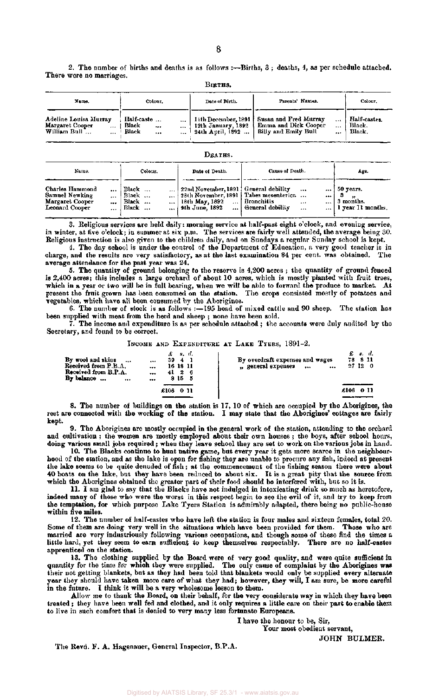2. The number of births and deaths is as follows :—Births, 3 ; deaths, 4, as per schedule attached. There were no marriages. BIRTHS.

| Name.                                                                            | Colour.                                               | Date of Birth.                                                             | Parents' Names.                                                                          | Colour.                          |
|----------------------------------------------------------------------------------|-------------------------------------------------------|----------------------------------------------------------------------------|------------------------------------------------------------------------------------------|----------------------------------|
| Adeline Louisa Murray<br>Margaret Cooper<br>$\cdots$<br>William Bull<br>$\cdots$ | Ilalf-caste<br>$\cdots$<br>Black<br><br><br>Black<br> | 11th December, 1891<br>12th January, 1892<br><sup>1</sup> 24th April, 1892 | Susan and Fred Murray<br><br><b>Emma and Dick Cooper</b><br><br>Billy and Emily Bull<br> | Half-castes.<br>Black.<br>Black. |

#### DEATHS.

Cause of Death.

Age.

Date of Death.

Name.

Colour.

ľ

| --------                              | -------        |                                                |                                                             | ----                                    |
|---------------------------------------|----------------|------------------------------------------------|-------------------------------------------------------------|-----------------------------------------|
| Charles Hammond<br><br>Samuel Newking | Black<br>Black | 22nd November, 1891 ! General debility         | <br>  28th November, 1891   Tabes mesenterica<br>           | $\ldots$ 50 years.                      |
| Margaret Cooper<br><br>Leonard Cooper | Black<br>Black | 18th May, 1892<br>$\cdots$<br>  9th June, 1892 | <i>I</i> Bronchitis<br>1.7.4<br>  General debility<br><br>. | 3 months.<br>$\ldots$ 1 year 11 months. |

3. Religious services are held daily: morning service at half-past eight o'clock, and evening service, in winter, at five o'clock; in summer at six p.m. The services are fairly well attended, the average being 30. Religious instruction is also given to the children daily, and on Sundays a regular Sunday school is kept.

4. The day school is under the control of the Department of Education, a very good teacher is in charge, and the results are very satisfactory, as at the last examination 84 per cent, was obtained. The average attendance for the past year was 24.

5. The quantity of ground belonging to the reserve is 4,200 acres ; the quantity of ground fenced is 2,400 acres; this includes a large orchard of about 10 acres, which is mostly planted with fruit trees, which in a year or two will be in full bearing, when we will be able to forward the produce to market. At present the fruit grown has been consumed on the station. The crops consisted mostly of potatoes and vegetables, which have all been consumed by the Aborigines.

6. The number of stock is as follows :—195 head of mixed cattle and 90 sheep. The station has been supplied with meat from the herd and sheep ; none have been sold.

 $\tilde{7}$ . The income and expenditure is as per schedule attached ; the accounts were duly audited by the Secretary, and found to be correct.

#### INCOME AND EXPENDITURE AT LAKE TYERS, 1891-2.

| By wool and skins<br>Received from $P.B.A.$<br>Received from B.P.A.<br>By balance<br> | £<br>. s. d.<br>$\frac{4}{ }$<br>39<br>$- + +$<br>16 18 11<br><br>412<br>-6<br><br>815<br>- 5<br> | By overdraft expenses and wages<br>"general expenses<br>$\bullet\bullet\bullet$<br> | £ s. d.<br>78 8 11<br>27120 |
|---------------------------------------------------------------------------------------|---------------------------------------------------------------------------------------------------|-------------------------------------------------------------------------------------|-----------------------------|
|                                                                                       |                                                                                                   |                                                                                     |                             |
|                                                                                       | £106<br>-0-11                                                                                     |                                                                                     | £106<br>-011                |
|                                                                                       |                                                                                                   |                                                                                     |                             |

8. The number of buildings on the station is 17, 10 of which are occupied by the Aborigines, the rest are connected with the working of the station. I may state that the Aborigines' cottages are fairly kept.

9. The Aborigines are mostly occupied in the general work of the station, attending to the orchard and cultivation ; the women are mostly employed about their own houses ; the boys, after school hours, doing various small jobs required ; when they leave school they are set to work on the various jobs in hand.

10. The Blacks continue to hunt native game, but every year it gets more scarce in the neighbourhood of the station, and as the lake is open for fishing they are unable to procure any fish, indeed at present the lake seems to be quite denuded of fish; at the commencement of the fishing season there were about 40 boats on the lake, but they have been reduced to about six. It is a great pity that the source from which the Aborigines obtained the greater part of their food should be interfered with, but so it is.

11. I am glad to say that the Blacks have not indulged in intoxicating drink so much as heretofore, indeed many of those who were the worst in this respect begin to see the evil of it, and try to keep from the temptation, for which purpose Lake Tyers Station is admirably adapted, there being no public-house within five miles.

12. The number of half-castes who have left the station is four males and sixteen females, total 20. Some of them are doing very well in the situations which have been provided for them. Those who are married are very industriously following various occupations, and though some of these find the times a little hard, yet they seem to earn sufficient to keep themselves respectably. There are no half-castes apprenticed on the station.

13. The clothing supplied by the Board were of very good quality, and were quite sufficient in quantity for the time for which they were supplied. The only cause of complaint by the Aborigines was their not getting blankets, but as they had been told that blankets would only be supplied every alternate year they should have taken more care of what they had; however, they will, I am sure, be more careful in the future. I think it will be a very wholesome lesson to them.

Allow me to thank the Board, on their behalf, for the very considerate way in which they have been treated ; they have been well fed and clothed, and it only requires a little care on their part to enable them to live in such comfort that is denied to very many less fortunate Europeans.

I have the honour to be, Sir,

Your most obedient servant,

JOHN BULMER.

The Revd. F. A. Hagenauer, General Inspector, B.P.A.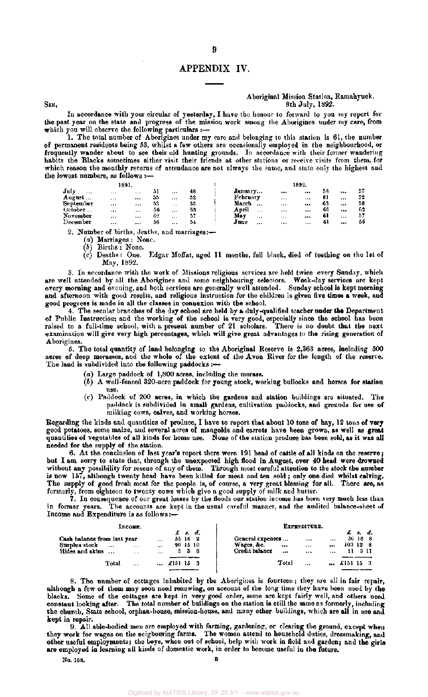#### APPENDIX IV.

#### Aboriginal Mission Station, Ramahyuck,  $SIR$ , 8th July, 1892.

In accordance with your circular of yesterday, I have the honour to forward to you my report for the past year on the state and progress of the mission work amoug the Aborigines under my care, from which you will observe the following particulars :-

1. The total number of Aborigines under my care and belonging to this station is 61, the number of permanent residents being 53, whilst a few others are occasionally employed in the neighbourhood, or frequently wander about to see their old hunting grounds. In accordance with their former wandering habits the Blacks sometimes either visit their friends at other stations or receive visits from them, for which reason the monthly returns of attendance are not always the same, and state only the highest and the lowest numbers, as follows :—

|           | 1891.     |       |    |          |    |                 |          | 1892.    |    |          |    |
|-----------|-----------|-------|----|----------|----|-----------------|----------|----------|----|----------|----|
| July<br>  | $+ + +$   | 1.14  |    |          | 48 | January         | $\cdots$ | $\cdots$ | 58 |          | 57 |
| August    | $\ddotsc$ |       | 55 |          | 52 | February        | $\cdots$ | $\cdots$ | 61 |          | 52 |
| September | $- - -$   |       | 53 | $\cdots$ | 53 | March<br>       |          |          | 63 | $\cdots$ | 58 |
| October   |           | $***$ | 56 | $.1 +$   | 53 | April<br>1.14   |          |          | 66 |          | 62 |
| November  |           |       | 62 |          | 57 | May<br>$\cdots$ | 2.4.5    |          | 61 |          | 57 |
| December  | $\cdots$  |       | 56 |          | 54 | June<br>        | $***$    |          |    |          | 56 |
|           |           |       |    |          |    |                 |          |          |    |          |    |

2. Number of births, deaths, and marriages:—

(a) Marriages : None.

*(b)* Births : None.

(c) Deaths: One. Edgar Moffat, aged 11 months, full black, died of teething on the 1st of May, 1892.

3. In accordance with the work of Missions religious services are held twice every Sunday, which are well attended by all the Aborigines and some neighbouring selectors. Week-day services are kept every morning and evening, and both services are generally well attended. Sunday school is kept morning and afternoon with good results, and religious instruction for the children is given five times a week, and good progress is made in all the classes in connexion with the school.

4. The secular branches of the day school are held by a duly-qualified teacher under the Department of Public Instruction; and the working of the school is very good, especially since the school has been raised to a full-time school, with a present number of 21 scholars. There is no doubt that the next examination will give very high percentages, which will give great advantages to the rising generation of Aborigines.

5. The total quantity of land belonging to the Aboriginal Reserve is 2,363 acres, including 500 acres of deep morasses, and the whole of the extent of the Avon River for the length of the reserve. The land is subdivided into the following paddocks :—

- (a) Large paddock of 1,800 acres, including the morass.
- *(b)* A well-fenced 320-acre paddock for young stock, working bullocks and horses for station use.
- (c) Paddock of 200 acres, in which the gardens and station buildings are situated. The paddock is subdivided in small gardens, cultivation paddocks, and grounds for use of milking cows, calves, and working horses.

Regarding the kinds and quantities of produce, I have to report that about 10 tons of hay, 12 tons of very good potatoes, some maize, and several acres of mangolds and carrots have been grown, as well as great quantities of vegetables of all kinds for home use. None of the station produce has been sold, as it was all needed for the supply of the station.

6. At the conclusion of last year's report there were 191 head of cattle of all kinds on the reserve; but I am sorry to state that, through the unexpected high flood in August, over 40 head were drowned without any possibility for rescue of any of them. Through most careful attention to the stock the number is now 157, although twenty head have been killed for meat and ten sold ; only one died whilst calving. The supply of good fresh meat for the people is, of course, a very great blessing for all. There are, as formerly, from eighteen to twenty cows which give a good supply of milk and butter.

7. In consequence of our great losses by the floods our station income has been very much less than in former years. The accounts are kept in the usual careful manner, and the audited balance-sheet of Income and Expenditure is as follows:—

|                                                                 |           | INCOME.              |                  |         |                                   |                                                  |              | EXPENDITURE.    |                    |                                                               |  |
|-----------------------------------------------------------------|-----------|----------------------|------------------|---------|-----------------------------------|--------------------------------------------------|--------------|-----------------|--------------------|---------------------------------------------------------------|--|
| Cash balance from last year<br>Surplus stock<br>Hides and skins | $\ddotsc$ | $\cdots$<br>$\cdots$ | <br><br>$\cdots$ | 55 16   | £ s. d.<br>- 2<br>90 15 10<br>533 | General expenses<br>Wages, &c.<br>Credit balance | <br>$\cdots$ | $1 + 1$<br><br> | <br><br><br>103126 | $\pounds$ $\pmb{\kappa}$ $\pmb{\kappa}$ .<br>36 18 8<br>11311 |  |
|                                                                 | Total     | $\cdots$             | $\cdots$         | £151 15 |                                   |                                                  | Total        | $\ddotsc$       | $$ £151 15 3       |                                                               |  |

8. The number of cottages inhabited by the Aborigines is fourteen; they are all in fair repair, although a few of them may soon need renewing, on account of the long time they have been used by the blacks. Some of the cottages are kept in very good order, some are kept fairly well, and others need constant looking after. The total number of buildings on the station is still the same as formerly, including the church, State school, orphan-house, mission-house, and many other buildings, which are all in use and kept in repair.

9. All able-bodied men are employed with farming, gardening, or clearing the ground, except when they work for wages on the neigbouring farms. The women attend to household duties, dressmaking, and other useful employments; the boys, when out of school, help with work in field and garden; and the girls are employed in learning all kinds of domestic work, in order to become useful in the future.

No. 158. B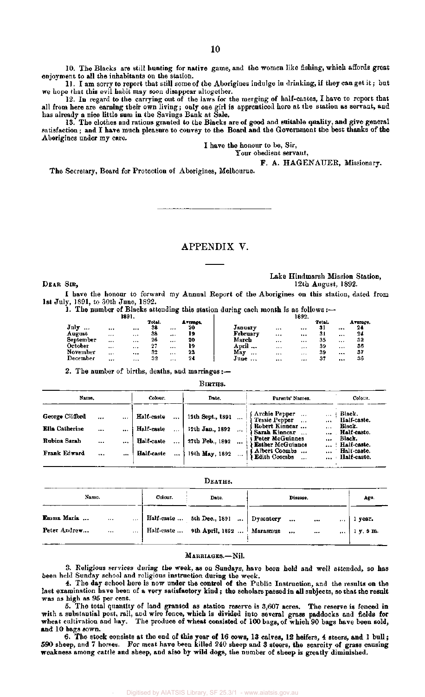10. The Blacks are still hunting for native game, and the women like fishing, which affords great enjoyment to all the inhabitants on the station.

11. I am sorry to report that still some of the Aborigines indulge in drinking, if they can get it; but we hope that this evil habit may soon disappear altogether.

12. In regard to the carrying out of the laws for the merging of half-castes, I have to report that all from here are earning their own living; only one girl is apprenticed here at the station as servant, and has already a nice little sum in the Savings Bank at Sale.

13. The clothes and rations granted to the Blacks are of good and suitable quality, and give general satisfaction; and I have much pleasure to convey to the Board and the Government the best thanks of the Aborigines under my care.

I have the honour to be, Sir,

Your obedient servant,

F. A. HAGENAUER, Missionary.

The Secretary, Board for Protection of Aborigines, Melbourne.

APPENDIX V.

Lake Hindmarsh Mission Station, DEAR SIR, 1892.

- I have the honour to forward my Annual Report of the Aborigines on this station, dated from 1st July, 1891, to 30th June, 1892.
	- 1. The number of Blacks attending this station during each month is as follows  $: \longrightarrow$

|           | 1891.        |              |          |                 |              |          | 1892.    |                      |          |                |
|-----------|--------------|--------------|----------|-----------------|--------------|----------|----------|----------------------|----------|----------------|
| July<br>  | <br>         | Total.<br>38 |          | А тегада.<br>20 | January      |          |          | <b>Total.</b><br>-31 |          | Average.<br>24 |
| August    | <br>         | 38           | $\cdots$ | 19              | February     |          |          | -31                  | $\cdots$ | 24             |
| September | <br>         | 26           |          | 20              | March        | $\cdots$ |          | 35                   |          | 32             |
| October   | <br>$\cdots$ | 27           |          | 19              | April        | $\cdots$ | $\cdots$ | 39                   | $\cdots$ | 36             |
| November  | <br>         | 32           |          | 23              | May<br>$***$ | $***$    | $\cdots$ | 39                   |          | 37             |
| December  | <br>         | 32           |          | 24              | June         |          | $\cdots$ | 37                   |          | 36             |

2. The number of births, deaths, and marriages :-

#### BIRTHS.

| Name.                                                                    |                       |                              | Colour.                                              |                  | Date.                                                                    | Parents' Names.                                                                                                                                                                              |                      | Colour.                                                                                                 |
|--------------------------------------------------------------------------|-----------------------|------------------------------|------------------------------------------------------|------------------|--------------------------------------------------------------------------|----------------------------------------------------------------------------------------------------------------------------------------------------------------------------------------------|----------------------|---------------------------------------------------------------------------------------------------------|
| George Clifford<br><b>Ella</b> Catherine<br>Rubiua Sarah<br>Frank Edward | <br><br><br>$\ddotsc$ | $\cdots$<br><br>$\cdots$<br> | Half-caste<br>Half-caste<br>Half-caste<br>Half-caste | <br><br>$\cdots$ | 12th Sept., 1891<br>12th Jan., 1892<br>27th Feb., 1892<br>19th May, 1892 | Archie Pepper<br>$\cdots$<br>Tessie Pepper<br>$\cdots$<br>Robert Kinnear<br>Sarah Kinnear<br>Peter McGuinnes<br><b>Esther McGuinnes</b><br>Albert Coombs<br><b>Edith Coombs</b><br>$\ddotsc$ | <br><br><br>$\cdots$ | : Black.<br>Half-caste.<br>Black.<br>Half-caste.<br>Black.<br>Half-caste.<br>Half-caste.<br>Half-caste. |

**DEATHS .** 

| Name.                                                              | Colour. | Date.                                                                               | Disease.              |              |          | Age.                 |
|--------------------------------------------------------------------|---------|-------------------------------------------------------------------------------------|-----------------------|--------------|----------|----------------------|
| Emma Maria<br>$\cdots$<br>$\cdots$<br>Peter Andrew<br>$\cdots$<br> |         | Half-caste  5th Dec., $1891$   Dysentery<br>Half-caste  9th April, 1892    Marasmus | $\cdots$<br>$\ddotsc$ | <br>$\cdots$ | $\cdots$ | 1 year.<br>1 y. 5 m. |

#### MARRIAGES.-Nil.

3. Religious services during the week, as on Sundays, have been held and well attended, so has been held Sunday school and religious instruction during the week.

4. The day school here is now under the control of the Public Instruction, and the results on the last examination have been of a very satisfactory kind; the scholars passed in all subjects, so that the result was as high as 95 per cent.

5. The total quantity of land granted as station reserve is  $3,607$  acres. The reserve is fenced in with a substantial post, rail, and wire fence, which is divided into several grass paddocks and fields for wheat cultivation and hay. The produce of wheat consisted of  $100$  bags, of which 90 bags have been sold, and 10 bags sown.

6. The stock consists at the end of this year of 16 cows, 13 calves, 12 heifers, 4 steers, and 1 bull ; 590 sheep, and 7 horses. For meat have been killed 240 sheep and 3 steers, the scarcity of grass causing weakness among cattle and sheep, and also by wild dogs, the number of sheep is greatly diminished.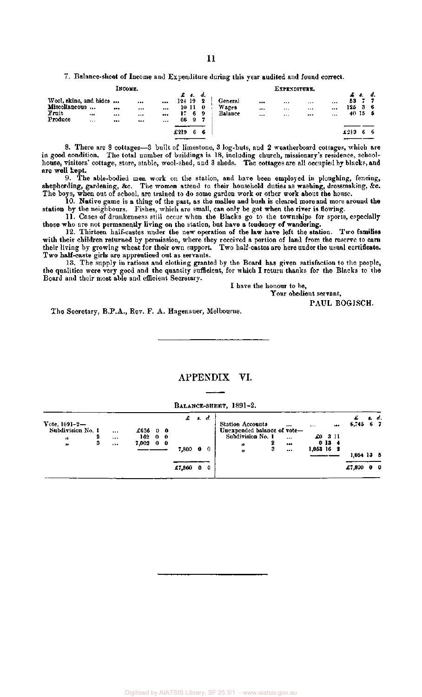7. Balance-sheet of Income and Expenditure during this year audited and found correct.

|                                                             |                | Інсоме.  |                  |                      |              |                                              |                              |                             | EXPENDITURE.                         |                              |                   |       |          |
|-------------------------------------------------------------|----------------|----------|------------------|----------------------|--------------|----------------------------------------------|------------------------------|-----------------------------|--------------------------------------|------------------------------|-------------------|-------|----------|
| Wool, skins, and hides<br>Miscellaneous<br>Fruit<br>Produce | $$<br>$\cdots$ | <br><br> | <br>1.11<br><br> | <br>$\cdots$<br><br> | 124 19<br>17 | $\pmb{\pmb{f}}$ s. d.<br>10110<br>6.<br>66 9 | $\overline{\mathbf{2}}$<br>9 | General<br>Wages<br>Balance | <br><br><br><br>$\cdots$<br>$\cdots$ | <br><br><br><br><br>$\cdots$ | £ s.<br>53<br>125 | 40155 | d.<br>36 |
|                                                             |                |          |                  |                      | £219         | 6                                            | 6                            |                             |                                      |                              | 4219              |       | -6       |

8. There are 8 cottages—3 built of limestone, 3 log-huts, and 2 weatherboard cottages, which are in good condition. The total number of buildings is 18, including church, missionary's residence, schoolhouse, visitors' cottage, store, stable, wool-shed, and 3 sheds. The cottages are all occupied by blacks, and are well kept.

9. The able-bodied men work on the station, and have been employed in ploughing, fencing, shepherding, gardening, &c. The women attend to their household duties as washing, dressmaking, &c. The boys, when out of school, are trained to do some garden work or other work about the house.

10. Native game is a thing of the past, as the mallee and bush is cleared more and more around the station by the neighbours. Fishes, which are small, can only be got when the river is flowing.

11. Cases of drunkenness still occur when the Blacks go to the townships for sports, especially those who are not permanently living on the station, but have a tendency of wandering.

12. Thirteen half-castes under the new operation of the law have left the station. Two families with their children returned by permission, where they received a portion of land from the reserve to earn their living by growing wheat for their own support. Two half-castes are here under the usual certificate. Two half-caste girls are apprenticed out as servants.

13. The supply in rations and clothing granted by the Board has given satisfaction to the people, the qualities were very good and the quantity sufficient, for which I return thanks for the Blacks to the Board and their most able and efficient Secretary.

I have the honour to be,

Your obedient servant,

PAUL BOGISCH.

The Secretary, B.P.A., Rev. F. A. Hagenauer, Melbourne.

### APPENDIX VI.

BALANCE-SHEET, 1891-2.

|                      |   |                             |  | $\mathcal{L}$ s. |             | d. |                             |                  |      | £            | s. d.      |
|----------------------|---|-----------------------------|--|------------------|-------------|----|-----------------------------|------------------|------|--------------|------------|
| $Vote, 1891 - 2 - 1$ |   |                             |  |                  |             |    | <b>Station Accounts</b><br> | $\cdots$         |      | $6,745$ 6 7  |            |
| Subdivision No. 1    |   | <br>£63600                  |  |                  |             |    | Unexpended balance of vote- |                  |      |              |            |
| $\mathbf{v}$         | 2 | <br>16200                   |  |                  |             |    | Subdivision No. 1<br>       | $\pounds 0$ 3 11 |      |              |            |
| $\pmb{\gg}$          | з | <br>$7,002 \quad 0 \quad 0$ |  |                  |             |    | 2<br>"                      |                  | 0134 |              |            |
|                      |   |                             |  | 7,800            | $\mathbf 0$ | 0  | 3<br><br>13                 | $1,053$ 16 2     |      |              |            |
|                      |   |                             |  |                  |             |    |                             |                  |      | $1,054$ 13 5 |            |
|                      |   |                             |  | £7,800           | 0           | 0  |                             |                  |      | £7,800       | $0\quad 0$ |